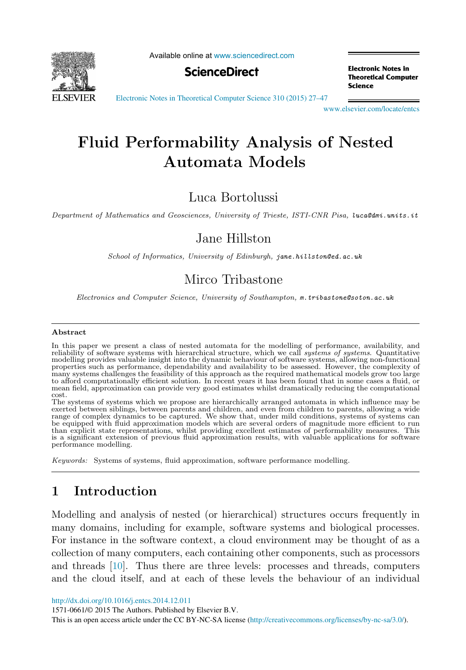

Available online at [www.sciencedirect.com](http://www.sciencedirect.com)



**Electronic Notes in Theoretical Computer** Science

[Electronic Notes in Theoretical Computer Science 310 \(2015\) 27–47](http://dx.doi.org/10.1016/j.entcs.2014.12.011)

[www.elsevier.com/locate/entcs](http://www.elsevier.com/locate/entcs)

# **Fluid Performability Analysis of Nested Automata Models**

Luca Bortolussi

Department of Mathematics and Geosciences, University of Trieste, ISTI-CNR Pisa, luca@dmi.units.it

### Jane Hillston

School of Informatics, University of Edinburgh, jane.hillston@ed.ac.uk

## Mirco Tribastone

Electronics and Computer Science, University of Southampton, m.tribastone@soton.ac.uk

#### **Abstract**

In this paper we present a class of nested automata for the modelling of performance, availability, and reliability of software systems with hierarchical structure, which we call systems of systems. Quantitative<br>modelling provides valuable insight into the dynamic behaviour of software systems, allowing non-functional properties such as performance, dependability and availability to be assessed. However, the complexity of many systems challenges the feasibility of this approach as the required mathematical models grow too large to afford computationally efficient solution. In recent years it has been found that in some cases a fluid, or mean field, approximation can provide very good estimates whilst dramatically reducing the computational cost.

The systems of systems which we propose are hierarchically arranged automata in which influence may be<br>exerted between siblings, between parents and children, and even from children to parents, allowing a wide<br>range of com be equipped with fluid approximation models which are several orders of magnitude more efficient to run than explicit state representations, whilst providing excellent estimates of performability measures. This is a significant extension of previous fluid approximation results, with valuable applications for software performance modelling.

Keywords: Systems of systems, fluid approximation, software performance modelling.

### **1 Introduction**

Modelling and analysis of nested (or hierarchical) structures occurs frequently in many domains, including for example, software systems and biological processes. For instance in the software context, a cloud environment may be thought of as a collection of many computers, each containing other components, such as processors and threads [\[10\]](#page-20-0). Thus there are three levels: processes and threads, computers and the cloud itself, and at each of these levels the behaviour of an individual

<http://dx.doi.org/10.1016/j.entcs.2014.12.011>

1571-0661/© 2015 The Authors. Published by Elsevier B.V.

This is an open access article under the CC BY-NC-SA license ([http://creativecommons.org/licenses/by-nc-sa/3.0/\)](http://creativecommons.org/licenses/by-nc-sa/3.0/).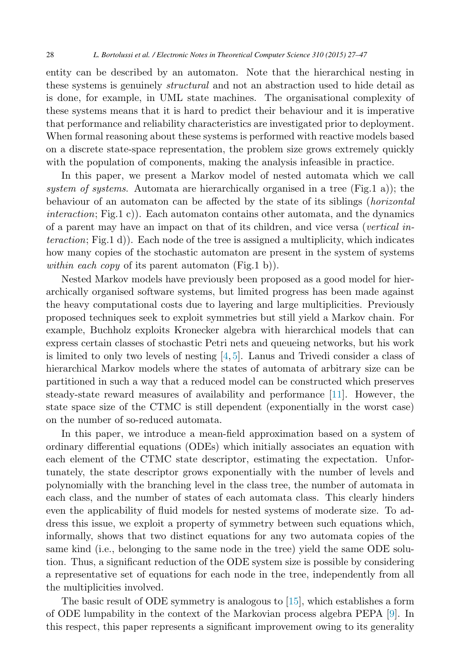entity can be described by an automaton. Note that the hierarchical nesting in these systems is genuinely *structural* and not an abstraction used to hide detail as is done, for example, in UML state machines. The organisational complexity of these systems means that it is hard to predict their behaviour and it is imperative that performance and reliability characteristics are investigated prior to deployment. When formal reasoning about these systems is performed with reactive models based on a discrete state-space representation, the problem size grows extremely quickly with the population of components, making the analysis infeasible in practice.

In this paper, we present a Markov model of nested automata which we call *system of systems*. Automata are hierarchically organised in a tree (Fig.1 a)); the behaviour of an automaton can be affected by the state of its siblings (*horizontal interaction*; Fig.1 c)). Each automaton contains other automata, and the dynamics of a parent may have an impact on that of its children, and vice versa (*vertical interaction*; Fig.1 d)). Each node of the tree is assigned a multiplicity, which indicates how many copies of the stochastic automaton are present in the system of systems *within each copy* of its parent automaton (Fig.1 b)).

Nested Markov models have previously been proposed as a good model for hierarchically organised software systems, but limited progress has been made against the heavy computational costs due to layering and large multiplicities. Previously proposed techniques seek to exploit symmetries but still yield a Markov chain. For example, Buchholz exploits Kronecker algebra with hierarchical models that can express certain classes of stochastic Petri nets and queueing networks, but his work is limited to only two levels of nesting [\[4,](#page-19-0) [5\]](#page-19-0). Lanus and Trivedi consider a class of hierarchical Markov models where the states of automata of arbitrary size can be partitioned in such a way that a reduced model can be constructed which preserves steady-state reward measures of availability and performance [\[11\]](#page-20-0). However, the state space size of the CTMC is still dependent (exponentially in the worst case) on the number of so-reduced automata.

In this paper, we introduce a mean-field approximation based on a system of ordinary differential equations (ODEs) which initially associates an equation with each element of the CTMC state descriptor, estimating the expectation. Unfortunately, the state descriptor grows exponentially with the number of levels and polynomially with the branching level in the class tree, the number of automata in each class, and the number of states of each automata class. This clearly hinders even the applicability of fluid models for nested systems of moderate size. To address this issue, we exploit a property of symmetry between such equations which, informally, shows that two distinct equations for any two automata copies of the same kind (i.e., belonging to the same node in the tree) yield the same ODE solution. Thus, a significant reduction of the ODE system size is possible by considering a representative set of equations for each node in the tree, independently from all the multiplicities involved.

The basic result of ODE symmetry is analogous to [\[15\]](#page-20-0), which establishes a form of ODE lumpability in the context of the Markovian process algebra PEPA [\[9\]](#page-20-0). In this respect, this paper represents a significant improvement owing to its generality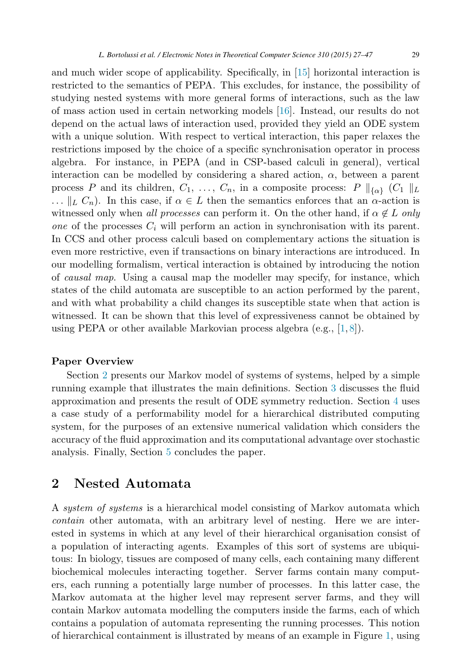and much wider scope of applicability. Specifically, in [\[15\]](#page-20-0) horizontal interaction is restricted to the semantics of PEPA. This excludes, for instance, the possibility of studying nested systems with more general forms of interactions, such as the law of mass action used in certain networking models [\[16\]](#page-20-0). Instead, our results do not depend on the actual laws of interaction used, provided they yield an ODE system with a unique solution. With respect to vertical interaction, this paper relaxes the restrictions imposed by the choice of a specific synchronisation operator in process algebra. For instance, in PEPA (and in CSP-based calculi in general), vertical interaction can be modelled by considering a shared action,  $\alpha$ , between a parent process P and its children,  $C_1, \ldots, C_n$ , in a composite process:  $P \parallel_{\{\alpha\}} (C_1 \parallel_L)$ ...  $||_L C_n$ ). In this case, if  $\alpha \in L$  then the semantics enforces that an  $\alpha$ -action is witnessed only when *all processes* can perform it. On the other hand, if  $\alpha \notin L$  *only one* of the processes  $C_i$  will perform an action in synchronisation with its parent. In CCS and other process calculi based on complementary actions the situation is even more restrictive, even if transactions on binary interactions are introduced. In our modelling formalism, vertical interaction is obtained by introducing the notion of *causal map*. Using a causal map the modeller may specify, for instance, which states of the child automata are susceptible to an action performed by the parent, and with what probability a child changes its susceptible state when that action is witnessed. It can be shown that this level of expressiveness cannot be obtained by

#### **Paper Overview**

Section 2 presents our Markov model of systems of systems, helped by a simple running example that illustrates the main definitions. Section [3](#page-12-0) discusses the fluid approximation and presents the result of ODE symmetry reduction. Section [4](#page-14-0) uses a case study of a performability model for a hierarchical distributed computing system, for the purposes of an extensive numerical validation which considers the accuracy of the fluid approximation and its computational advantage over stochastic analysis. Finally, Section [5](#page-18-0) concludes the paper.

using PEPA or other available Markovian process algebra (e.g., [\[1,](#page-19-0) [8\]](#page-20-0)).

### **2 Nested Automata**

A *system of systems* is a hierarchical model consisting of Markov automata which *contain* other automata, with an arbitrary level of nesting. Here we are interested in systems in which at any level of their hierarchical organisation consist of a population of interacting agents. Examples of this sort of systems are ubiquitous: In biology, tissues are composed of many cells, each containing many different biochemical molecules interacting together. Server farms contain many computers, each running a potentially large number of processes. In this latter case, the Markov automata at the higher level may represent server farms, and they will contain Markov automata modelling the computers inside the farms, each of which contains a population of automata representing the running processes. This notion of hierarchical containment is illustrated by means of an example in Figure [1,](#page-3-0) using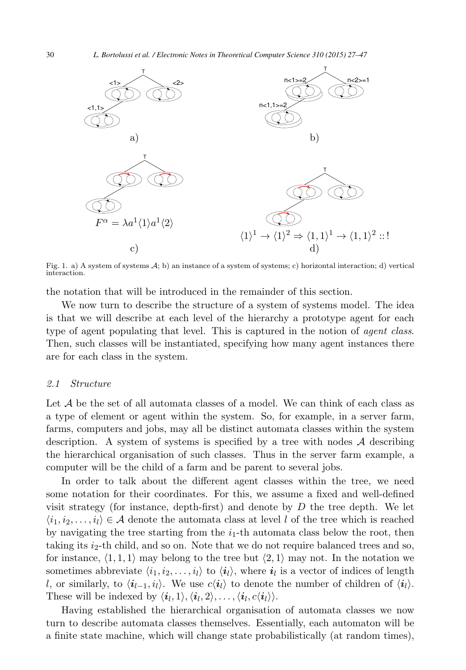<span id="page-3-0"></span>

Fig. 1. a) A system of systems  $A$ ; b) an instance of a system of systems; c) horizontal interaction; d) vertical interaction.

the notation that will be introduced in the remainder of this section.

We now turn to describe the structure of a system of systems model. The idea is that we will describe at each level of the hierarchy a prototype agent for each type of agent populating that level. This is captured in the notion of *agent class*. Then, such classes will be instantiated, specifying how many agent instances there are for each class in the system.

#### *2.1 Structure*

Let  $A$  be the set of all automata classes of a model. We can think of each class as a type of element or agent within the system. So, for example, in a server farm, farms, computers and jobs, may all be distinct automata classes within the system description. A system of systems is specified by a tree with nodes  $A$  describing the hierarchical organisation of such classes. Thus in the server farm example, a computer will be the child of a farm and be parent to several jobs.

In order to talk about the different agent classes within the tree, we need some notation for their coordinates. For this, we assume a fixed and well-defined visit strategy (for instance, depth-first) and denote by  $D$  the tree depth. We let  $\langle i_1, i_2, \ldots, i_l \rangle \in \mathcal{A}$  denote the automata class at level l of the tree which is reached by navigating the tree starting from the  $i_1$ -th automata class below the root, then taking its  $i_2$ -th child, and so on. Note that we do not require balanced trees and so, for instance,  $\langle 1, 1, 1 \rangle$  may belong to the tree but  $\langle 2, 1 \rangle$  may not. In the notation we sometimes abbreviate  $\langle i_1, i_2, \ldots, i_l \rangle$  to  $\langle i_l \rangle$ , where  $i_l$  is a vector of indices of length l, or similarly, to  $\langle i_{l-1}, i_l \rangle$ . We use  $c\langle i_l \rangle$  to denote the number of children of  $\langle i_l \rangle$ . These will be indexed by  $\langle i_l, 1 \rangle, \langle i_l, 2 \rangle, \ldots, \langle i_l, c \langle i_l \rangle \rangle$ .

Having established the hierarchical organisation of automata classes we now turn to describe automata classes themselves. Essentially, each automaton will be a finite state machine, which will change state probabilistically (at random times),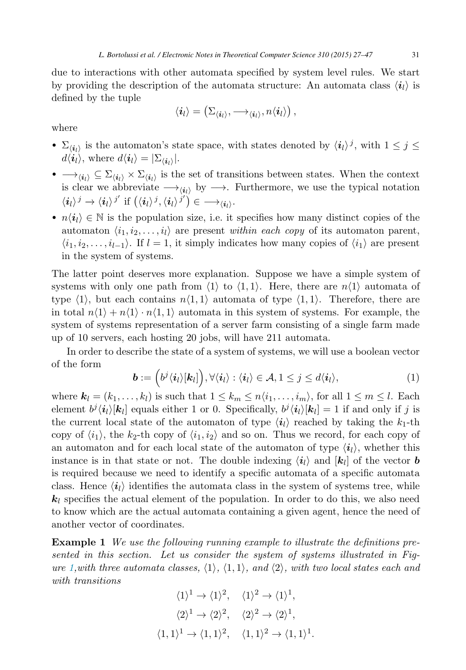<span id="page-4-0"></span>due to interactions with other automata specified by system level rules. We start by providing the description of the automata structure: An automata class  $\langle i_l \rangle$  is defined by the tuple

$$
\langle \boldsymbol{i}_l \rangle = \left( \Sigma_{\langle \boldsymbol{i}_l \rangle}, \boldsymbol{\longrightarrow}_{\langle \boldsymbol{i}_l \rangle}, n \langle \boldsymbol{i}_l \rangle \right),
$$

where

- $\Sigma_{\langle i_l \rangle}$  is the automaton's state space, with states denoted by  $\langle i_l \rangle^j$ , with  $1 \leq j \leq$  $d\langle \mathbf{i}_l \rangle$ , where  $d\langle \mathbf{i}_l \rangle = |\Sigma_{\langle \mathbf{i}_l \rangle}|.$
- $\longrightarrow_{\langle i_l \rangle} \subseteq \Sigma_{\langle i_l \rangle} \times \Sigma_{\langle i_l \rangle}$  is the set of transitions between states. When the context is clear we abbreviate  $\longrightarrow_{\langle i_l \rangle}$  by  $\longrightarrow$ . Furthermore, we use the typical notation  $\langle i_l \rangle^j \rightarrow \langle i_l \rangle^{j'}$  if  $(\langle i_l \rangle^j, \langle i_l \rangle^{j'}) \in \longrightarrow_{\langle i_l \rangle}$ .
- $n(i_l) \in \mathbb{N}$  is the population size, i.e. it specifies how many distinct copies of the automaton  $\langle i_1, i_2, \ldots, i_l \rangle$  are present *within each copy* of its automaton parent,  $\langle i_1, i_2, \ldots, i_{l-1} \rangle$ . If  $l = 1$ , it simply indicates how many copies of  $\langle i_1 \rangle$  are present in the system of systems.

The latter point deserves more explanation. Suppose we have a simple system of systems with only one path from  $\langle 1 \rangle$  to  $\langle 1, 1 \rangle$ . Here, there are  $n\langle 1 \rangle$  automata of type  $\langle 1 \rangle$ , but each contains  $n\langle 1, 1 \rangle$  automata of type  $\langle 1, 1 \rangle$ . Therefore, there are in total  $n(1) + n(1) \cdot n(1, 1)$  automata in this system of systems. For example, the system of systems representation of a server farm consisting of a single farm made up of 10 servers, each hosting 20 jobs, will have 211 automata.

In order to describe the state of a system of systems, we will use a boolean vector of the form

$$
\boldsymbol{b} := (\boldsymbol{b}^j \langle \boldsymbol{i}_l \rangle [\boldsymbol{k}_l]), \forall \langle \boldsymbol{i}_l \rangle : \langle \boldsymbol{i}_l \rangle \in \mathcal{A}, 1 \leq j \leq d \langle \boldsymbol{i}_l \rangle, \tag{1}
$$

where  $\mathbf{k}_l = (k_1, \ldots, k_l)$  is such that  $1 \leq k_m \leq n \langle i_1, \ldots, i_m \rangle$ , for all  $1 \leq m \leq l$ . Each element  $b^j \langle i_l \rangle [k_l]$  equals either 1 or 0. Specifically,  $b^j \langle i_l \rangle [k_l] = 1$  if and only if j is the current local state of the automaton of type  $\langle i_l \rangle$  reached by taking the  $k_1$ -th copy of  $\langle i_1 \rangle$ , the k<sub>2</sub>-th copy of  $\langle i_1, i_2 \rangle$  and so on. Thus we record, for each copy of an automaton and for each local state of the automaton of type  $\langle i_l \rangle$ , whether this instance is in that state or not. The double indexing  $\langle i_l \rangle$  and  $\langle k_l \rangle$  of the vector **b** is required because we need to identify a specific automata of a specific automata class. Hence  $\langle i_l \rangle$  identifies the automata class in the system of systems tree, while  $k_l$  specifies the actual element of the population. In order to do this, we also need to know which are the actual automata containing a given agent, hence the need of another vector of coordinates.

**Example 1** *We use the following running example to illustrate the definitions presented in this section. Let us consider the system of systems illustrated in Figure* [1,](#page-3-0)*with three automata classes,*  $\langle 1 \rangle$ ,  $\langle 1, 1 \rangle$ , and  $\langle 2 \rangle$ , with two local states each and *with transitions*

$$
\langle 1 \rangle^1 \to \langle 1 \rangle^2, \quad \langle 1 \rangle^2 \to \langle 1 \rangle^1,
$$
  

$$
\langle 2 \rangle^1 \to \langle 2 \rangle^2, \quad \langle 2 \rangle^2 \to \langle 2 \rangle^1,
$$
  

$$
\langle 1, 1 \rangle^1 \to \langle 1, 1 \rangle^2, \quad \langle 1, 1 \rangle^2 \to \langle 1, 1 \rangle^1.
$$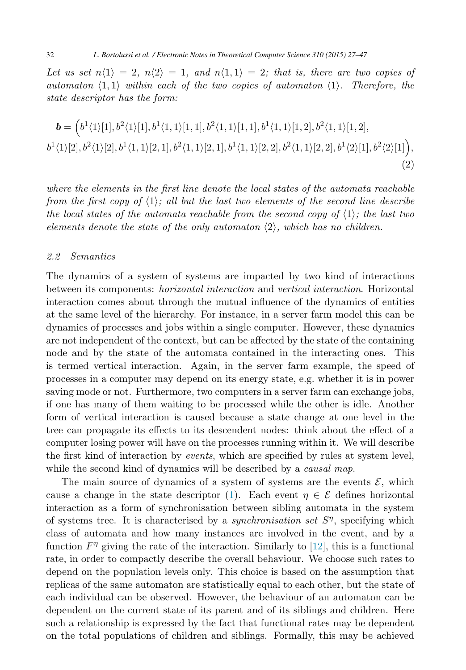<span id="page-5-0"></span>Let us set  $n(1) = 2$ ,  $n(2) = 1$ , and  $n(1, 1) = 2$ ; that is, there are two copies of *automaton*  $\langle 1, 1 \rangle$  *within each of the two copies of automaton*  $\langle 1 \rangle$ *. Therefore, the state descriptor has the form:*

$$
\mathbf{b} = (b^1 \langle 1 \rangle [1], b^2 \langle 1 \rangle [1], b^1 \langle 1, 1 \rangle [1, 1], b^2 \langle 1, 1 \rangle [1, 1], b^1 \langle 1, 1 \rangle [1, 2], b^2 \langle 1, 1 \rangle [1, 2],
$$
  
\n
$$
b^1 \langle 1 \rangle [2], b^2 \langle 1 \rangle [2], b^1 \langle 1, 1 \rangle [2, 1], b^2 \langle 1, 1 \rangle [2, 1], b^1 \langle 1, 1 \rangle [2, 2], b^2 \langle 1, 1 \rangle [2, 2], b^1 \langle 2 \rangle [1], b^2 \langle 2 \rangle [1]),
$$
\n(2)

*where the elements in the first line denote the local states of the automata reachable from the first copy of*  $\langle 1 \rangle$ ; all but the last two elements of the second line describe *the local states of the automata reachable from the second copy of*  $\langle 1 \rangle$ ; the last two *elements denote the state of the only automaton*  $\langle 2 \rangle$ , which has no children.

#### *2.2 Semantics*

The dynamics of a system of systems are impacted by two kind of interactions between its components: *horizontal interaction* and *vertical interaction*. Horizontal interaction comes about through the mutual influence of the dynamics of entities at the same level of the hierarchy. For instance, in a server farm model this can be dynamics of processes and jobs within a single computer. However, these dynamics are not independent of the context, but can be affected by the state of the containing node and by the state of the automata contained in the interacting ones. This is termed vertical interaction. Again, in the server farm example, the speed of processes in a computer may depend on its energy state, e.g. whether it is in power saving mode or not. Furthermore, two computers in a server farm can exchange jobs, if one has many of them waiting to be processed while the other is idle. Another form of vertical interaction is caused because a state change at one level in the tree can propagate its effects to its descendent nodes: think about the effect of a computer losing power will have on the processes running within it. We will describe the first kind of interaction by *events*, which are specified by rules at system level, while the second kind of dynamics will be described by a *causal map*.

The main source of dynamics of a system of systems are the events  $\mathcal{E}$ , which cause a change in the state descriptor [\(1\)](#page-4-0). Each event  $\eta \in \mathcal{E}$  defines horizontal interaction as a form of synchronisation between sibling automata in the system of systems tree. It is characterised by a *synchronisation set* Sη, specifying which class of automata and how many instances are involved in the event, and by a function  $F^{\eta}$  giving the rate of the interaction. Similarly to [\[12\]](#page-20-0), this is a functional rate, in order to compactly describe the overall behaviour. We choose such rates to depend on the population levels only. This choice is based on the assumption that replicas of the same automaton are statistically equal to each other, but the state of each individual can be observed. However, the behaviour of an automaton can be dependent on the current state of its parent and of its siblings and children. Here such a relationship is expressed by the fact that functional rates may be dependent on the total populations of children and siblings. Formally, this may be achieved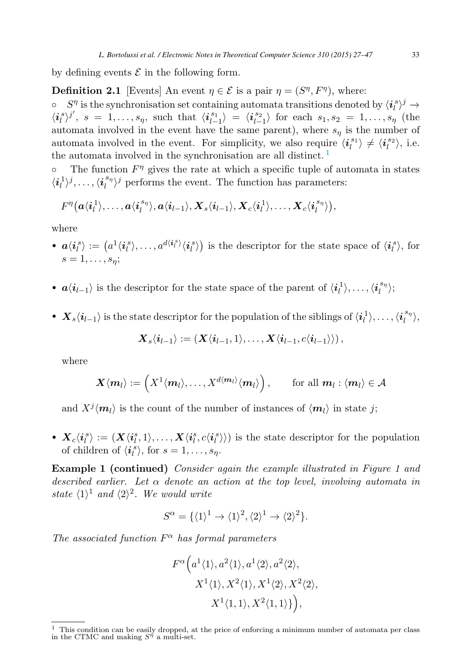by defining events  $\mathcal E$  in the following form.

**Definition 2.1** [Events] An event  $\eta \in \mathcal{E}$  is a pair  $\eta = (S^{\eta}, F^{\eta})$ , where:<br>  $\circ$   $S^{\eta}$  is the synchronisation set containing automata transitions denoted

 $\circ$  S<sup>n</sup> is the synchronisation set containing automata transitions denoted by  $\langle i_i^s \rangle^j \rightarrow$  $\langle i_l^s \rangle^{j'}, s = 1, ..., s_{\eta}$ , such that  $\langle i_{l-1}^{s_1} \rangle = \langle i_{l-1}^{s_2} \rangle$  for each  $s_1, s_2 = 1, ..., s_{\eta}$  (the automata involved in the event have the same parent), where  $s_n$  is the number of automata involved in the event. For simplicity, we also require  $\langle i_l^{s_1} \rangle \neq \langle i_l^{s_2} \rangle$ , i.e. the automata involved in the synchronisation are all distinct. <sup>1</sup>

 $\circ$  The function  $F^{\eta}$  gives the rate at which a specific tuple of automata in states  $\langle i_l^1 \rangle^j, \ldots, \langle i_l^{s_{\eta}} \rangle^j$  performs the event. The function has parameters:

$$
F^{\eta}\big(a\langle {\bm i}_l^1\rangle, \ldots, a\langle {\bm i}_l^{s_{\eta}}\rangle, a\langle {\bm i}_{l-1}\rangle, {\bm X}_s\langle {\bm i}_{l-1}\rangle, {\bm X}_c\langle {\bm i}_l^1\rangle, \ldots, {\bm X}_c\langle {\bm i}_l^{s_{\eta}}\rangle\big),
$$

where

- $a\langle i_l^s\rangle := \left(a^1\langle i_l^s\rangle, \ldots, a^{d\langle i_l^s\rangle}\langle i_l^s\rangle\right)$  is the descriptor for the state space of  $\langle i_l^s\rangle$ , for  $s=1,\ldots,s_n;$
- $a \langle i_{l-1} \rangle$  is the descriptor for the state space of the parent of  $\langle i_l^1 \rangle, \ldots, \langle i_l^{s_{\eta}} \rangle;$
- $\bm{X}_s \langle \bm{i}_{l-1} \rangle$  is the state descriptor for the population of the siblings of  $\langle \bm{i}_l^1 \rangle, \ldots, \langle \bm{i}_l^{s_{\eta}} \rangle,$

$$
\boldsymbol{X}_s\langle \boldsymbol{i}_{l-1} \rangle := \left(\boldsymbol{X}\langle \boldsymbol{i}_{l-1},1\rangle,\ldots,\boldsymbol{X}\langle \boldsymbol{i}_{l-1},c\langle \boldsymbol{i}_{l-1}\rangle\rangle\right),
$$

where

$$
\mathbf{X}\langle \mathbf{m}_l\rangle := \left(X^1\langle \mathbf{m}_l\rangle,\ldots,X^{d\langle \mathbf{m}_l\rangle}\langle \mathbf{m}_l\rangle\right), \qquad \text{for all } \mathbf{m}_l: \langle \mathbf{m}_l\rangle \in \mathcal{A}
$$

and  $X^{j}$ *m*<sub>l</sub> $\rangle$  is the count of the number of instances of  $\langle m_l \rangle$  in state j;

•  $\boldsymbol{X}_c\langle i_l^s\rangle := (\boldsymbol{X}\langle i_l^s, 1\rangle, \ldots, \boldsymbol{X}\langle i_l^s, c\langle i_l^s\rangle)$  is the state descriptor for the population of children of  $\langle i_i^s \rangle$ , for  $s = 1, \ldots, s_{\eta}$ .

**Example 1 (continued)** *Consider again the example illustrated in Figure 1 and described earlier. Let* α *denote an action at the top level, involving automata in state*  $\langle 1 \rangle^1$  *and*  $\langle 2 \rangle^2$ *. We would write* 

$$
S^{\alpha} = {\{\langle 1 \rangle}^{1} \rightarrow \langle 1 \rangle^{2}, \langle 2 \rangle^{1} \rightarrow \langle 2 \rangle^{2} }.
$$

*The associated function*  $F^{\alpha}$  *has formal parameters* 

$$
F^{\alpha}\Big(a^1\langle 1\rangle, a^2\langle 1\rangle, a^1\langle 2\rangle, a^2\langle 2\rangle,
$$
  

$$
X^1\langle 1\rangle, X^2\langle 1\rangle, X^1\langle 2\rangle, X^2\langle 2\rangle,
$$
  

$$
X^1\langle 1, 1\rangle, X^2\langle 1, 1\rangle\}\Big),
$$

<sup>&</sup>lt;sup>1</sup> This condition can be easily dropped, at the price of enforcing a minimum number of automata per class in the CTMC and making  $S^{\eta}$  a multi-set.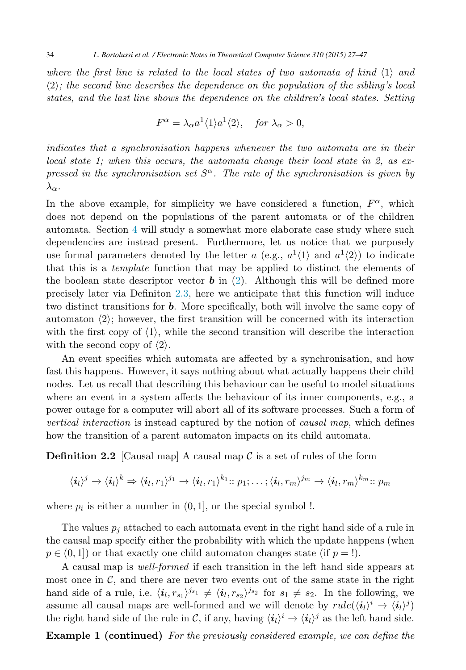where the first line is related to the local states of two automata of kind  $\langle 1 \rangle$  and  $\langle 2 \rangle$ ; the second line describes the dependence on the population of the sibling's local *states, and the last line shows the dependence on the children's local states. Setting*

$$
F^{\alpha} = \lambda_{\alpha} a^1 \langle 1 \rangle a^1 \langle 2 \rangle, \quad \text{for } \lambda_{\alpha} > 0,
$$

*indicates that a synchronisation happens whenever the two automata are in their local state 1; when this occurs, the automata change their local state in 2, as expressed in the synchronisation set*  $S^{\alpha}$ . The rate of the synchronisation is given by  $\lambda_{\alpha}$ .

In the above example, for simplicity we have considered a function,  $F^{\alpha}$ , which does not depend on the populations of the parent automata or of the children automata. Section [4](#page-14-0) will study a somewhat more elaborate case study where such dependencies are instead present. Furthermore, let us notice that we purposely use formal parameters denoted by the letter a (e.g.,  $a^1\langle 1\rangle$  and  $a^1\langle 2\rangle$ ) to indicate that this is a *template* function that may be applied to distinct the elements of the boolean state descriptor vector  $\boldsymbol{b}$  in [\(2\)](#page-5-0). Although this will be defined more precisely later via Definiton [2.3,](#page-10-0) here we anticipate that this function will induce two distinct transitions for *b*. More specifically, both will involve the same copy of automaton  $\langle 2 \rangle$ ; however, the first transition will be concerned with its interaction with the first copy of  $\langle 1 \rangle$ , while the second transition will describe the interaction with the second copy of  $\langle 2 \rangle$ .

An event specifies which automata are affected by a synchronisation, and how fast this happens. However, it says nothing about what actually happens their child nodes. Let us recall that describing this behaviour can be useful to model situations where an event in a system affects the behaviour of its inner components, e.g., a power outage for a computer will abort all of its software processes. Such a form of *vertical interaction* is instead captured by the notion of *causal map*, which defines how the transition of a parent automaton impacts on its child automata.

**Definition 2.2** [Causal map] A causal map  $\mathcal C$  is a set of rules of the form

$$
\langle i_l\rangle^j \to \langle i_l\rangle^k \Rightarrow \langle i_l, r_1\rangle^{j_1} \to \langle i_l, r_1\rangle^{k_1} :: p_1; \ldots; \langle i_l, r_m\rangle^{j_m} \to \langle i_l, r_m\rangle^{k_m} :: p_m
$$

where  $p_i$  is either a number in  $(0, 1]$ , or the special symbol !.

The values  $p_i$  attached to each automata event in the right hand side of a rule in the causal map specify either the probability with which the update happens (when  $p \in (0, 1]$  or that exactly one child automaton changes state (if  $p = !$ ).

A causal map is *well-formed* if each transition in the left hand side appears at most once in  $\mathcal{C}$ , and there are never two events out of the same state in the right hand side of a rule, i.e.  $\langle i_l, r_{s_1} \rangle^{j_{s_1}} \neq \langle i_l, r_{s_2} \rangle^{j_{s_2}}$  for  $s_1 \neq s_2$ . In the following, we assume all causal maps are well-formed and we will denote by  $rule(\langle i_l \rangle^i \rightarrow \langle i_l \rangle^j)$ the right hand side of the rule in C, if any, having  $\langle i_l \rangle^i \rightarrow \langle i_l \rangle^j$  as the left hand side.

**Example 1 (continued)** *For the previously considered example, we can define the*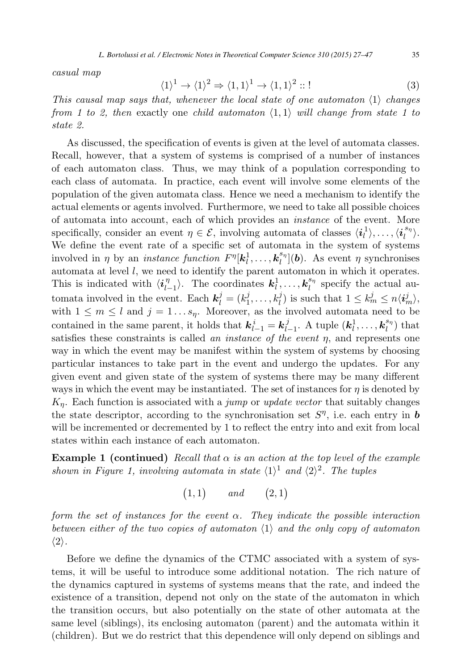<span id="page-8-0"></span>*casual map*

$$
\langle 1 \rangle^1 \to \langle 1 \rangle^2 \Rightarrow \langle 1, 1 \rangle^1 \to \langle 1, 1 \rangle^2 :: !
$$
 (3)

*This causal map says that, whenever the local state of one automaton*  $\langle 1 \rangle$  *changes from 1 to 2, then* exactly one *child automaton*  $\langle 1, 1 \rangle$  *will change from state 1 to state 2.*

As discussed, the specification of events is given at the level of automata classes. Recall, however, that a system of systems is comprised of a number of instances of each automaton class. Thus, we may think of a population corresponding to each class of automata. In practice, each event will involve some elements of the population of the given automata class. Hence we need a mechanism to identify the actual elements or agents involved. Furthermore, we need to take all possible choices of automata into account, each of which provides an *instance* of the event. More specifically, consider an event  $\eta \in \mathcal{E}$ , involving automata of classes  $\langle i_l^1 \rangle, \ldots, \langle i_l^{s_{\eta}} \rangle$ . We define the event rate of a specific set of automata in the system of systems involved in  $\eta$  by an *instance function*  $F^{\eta}[\mathbf{k}_l^1, \ldots, \mathbf{k}_l^{s_{\eta}}](\mathbf{b})$ . As event  $\eta$  synchronises automata at level  $l$ , we need to identify the parent automaton in which it operates. This is indicated with  $\langle i_{l-1}^{\eta} \rangle$ . The coordinates  $k_l^1, \ldots, k_l^{s_{\eta}}$  specify the actual automata involved in the event. Each  $\mathbf{k}_l^j = (k_1^j, \ldots, k_l^j)$  is such that  $1 \leq k_m^j \leq n \langle \mathbf{i}_m^j \rangle$ , with  $1 \leq m \leq l$  and  $j = 1...s_{\eta}$ . Moreover, as the involved automata need to be contained in the same parent, it holds that  $\mathbf{k}_{l-1}^i = \mathbf{k}_{l-1}^j$ . A tuple  $(\mathbf{k}_l^1, \ldots, \mathbf{k}_l^{s_n})$  that satisfies these constraints is called *an instance of the event* η, and represents one way in which the event may be manifest within the system of systems by choosing particular instances to take part in the event and undergo the updates. For any given event and given state of the system of systems there may be many different ways in which the event may be instantiated. The set of instances for  $\eta$  is denoted by Kη. Each function is associated with a *jump* or *update vector* that suitably changes the state descriptor, according to the synchronisation set  $S^{\eta}$ , i.e. each entry in **b** will be incremented or decremented by 1 to reflect the entry into and exit from local states within each instance of each automaton.

**Example 1 (continued)** *Recall that*  $\alpha$  *is an action at the top level of the example shown in Figure 1, involving automata in state*  $\langle 1 \rangle$ <sup>1</sup> *and*  $\langle 2 \rangle$ <sup>2</sup>. The tuples

 $(1, 1)$  and  $(2, 1)$ 

*form the set of instances for the event* α*. They indicate the possible interaction between either of the two copies of automaton*  $\langle 1 \rangle$  and the only copy of automaton  $\langle 2 \rangle$ .

Before we define the dynamics of the CTMC associated with a system of systems, it will be useful to introduce some additional notation. The rich nature of the dynamics captured in systems of systems means that the rate, and indeed the existence of a transition, depend not only on the state of the automaton in which the transition occurs, but also potentially on the state of other automata at the same level (siblings), its enclosing automaton (parent) and the automata within it (children). But we do restrict that this dependence will only depend on siblings and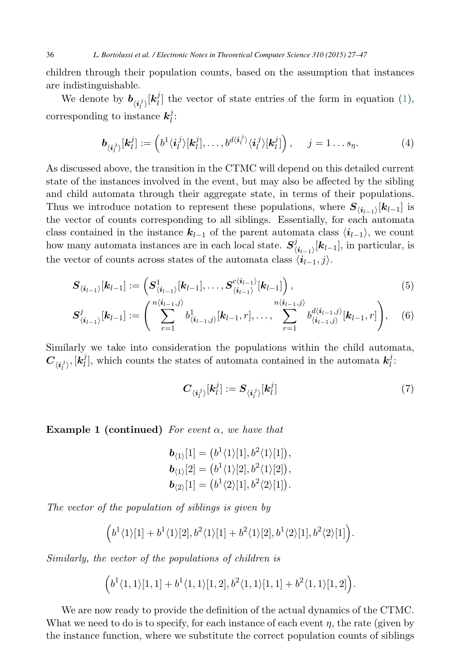<span id="page-9-0"></span>children through their population counts, based on the assumption that instances are indistinguishable.

We denote by  $b_{\langle i_l^j \rangle}[k_l^j]$  the vector of state entries of the form in equation [\(1\)](#page-4-0), corresponding to instance  $k_i^j$ :

$$
\boldsymbol{b}_{\langle \boldsymbol{i}_l^j \rangle}[\boldsymbol{k}_l^j] := \left(b^1 \langle \boldsymbol{i}_l^j \rangle [\boldsymbol{k}_l^j], \dots, b^{d \langle \boldsymbol{i}_l^j \rangle} \langle \boldsymbol{i}_l^j \rangle [\boldsymbol{k}_l^j] \right), \quad j = 1 \dots s_{\eta}.
$$
 (4)

As discussed above, the transition in the CTMC will depend on this detailed current state of the instances involved in the event, but may also be affected by the sibling and child automata through their aggregate state, in terms of their populations. Thus we introduce notation to represent these populations, where  $S_{\langle i_{l-1}\rangle}[k_{l-1}]$  is the vector of counts corresponding to all siblings. Essentially, for each automata class contained in the instance  $k_{l-1}$  of the parent automata class  $\langle i_{l-1} \rangle$ , we count how many automata instances are in each local state.  $S^j_{\langle i_{l-1}\rangle}[k_{l-1}],$  in particular, is the vector of counts across states of the automata class  $\langle i_{l-1}, j \rangle$ .

$$
\boldsymbol{S}_{\langle i_{l-1}\rangle}[\boldsymbol{k}_{l-1}] := \left(\boldsymbol{S}_{\langle i_{l-1}\rangle}^1[\boldsymbol{k}_{l-1}], \ldots, \boldsymbol{S}_{\langle i_{l-1}\rangle}^{c\langle i_{l-1}\rangle}[\boldsymbol{k}_{l-1}]\right),
$$
\n
$$
\left(\begin{array}{cc} n\langle i_{l-1},j \rangle & n\langle i_{l-1},j \rangle \end{array}\right) \tag{5}
$$

$$
\mathbf{S}_{\langle i_{l-1}\rangle}^{j}[\mathbf{k}_{l-1}] := \left(\sum_{r=1}^{n\langle i_{l-1},j\rangle} b_{\langle i_{l-1},j\rangle}^{1}[\mathbf{k}_{l-1},r],\ldots,\sum_{r=1}^{n\langle i_{l-1},j\rangle} b_{\langle i_{l-1},j\rangle}^{d\langle i_{l-1},j\rangle}[\mathbf{k}_{l-1},r]\right),\quad(6)
$$

Similarly we take into consideration the populations within the child automata,  $C_{\langle i_l^j \rangle}, [\dot{k}_l^j]$ , which counts the states of automata contained in the automata  $k_l^j$ :

$$
\boldsymbol{C}_{\langle i_l^j \rangle} [\boldsymbol{k}_l^j] := \boldsymbol{S}_{\langle i_l^j \rangle} [\boldsymbol{k}_l^j] \tag{7}
$$

**Example 1 (continued)** *For event* α*, we have that*

$$
\mathbf{b}_{\langle 1 \rangle}[1] = (b^1 \langle 1 \rangle[1], b^2 \langle 1 \rangle[1]),
$$
  
\n
$$
\mathbf{b}_{\langle 1 \rangle}[2] = (b^1 \langle 1 \rangle[2], b^2 \langle 1 \rangle[2]),
$$
  
\n
$$
\mathbf{b}_{\langle 2 \rangle}[1] = (b^1 \langle 2 \rangle[1], b^2 \langle 2 \rangle[1]).
$$

*The vector of the population of siblings is given by*

$$
(b1 \langle 1 \rangle [1] + b1 \langle 1 \rangle [2], b2 \langle 1 \rangle [1] + b2 \langle 1 \rangle [2], b1 \langle 2 \rangle [1], b2 \langle 2 \rangle [1].
$$

*Similarly, the vector of the populations of children is*

$$
\Big(b^1\langle1,1\rangle[1,1]+b^1\langle1,1\rangle[1,2],b^2\langle1,1\rangle[1,1]+b^2\langle1,1\rangle[1,2]\Big).
$$

We are now ready to provide the definition of the actual dynamics of the CTMC. What we need to do is to specify, for each instance of each event  $\eta$ , the rate (given by the instance function, where we substitute the correct population counts of siblings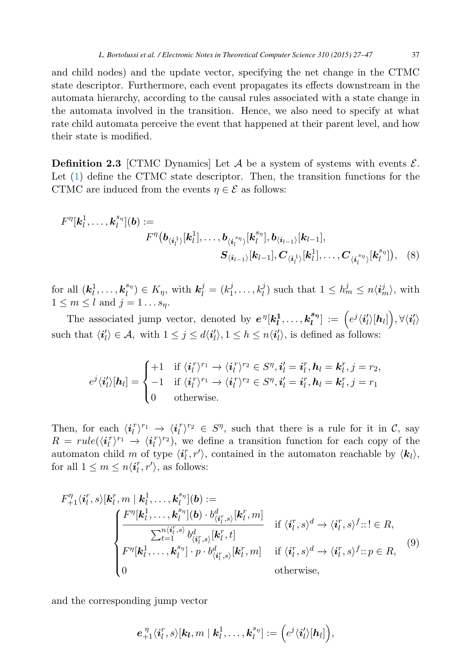<span id="page-10-0"></span>and child nodes) and the update vector, specifying the net change in the CTMC state descriptor. Furthermore, each event propagates its effects downstream in the automata hierarchy, according to the causal rules associated with a state change in the automata involved in the transition. Hence, we also need to specify at what rate child automata perceive the event that happened at their parent level, and how their state is modified.

**Definition 2.3** [CTMC Dynamics] Let  $A$  be a system of systems with events  $\mathcal{E}$ . Let [\(1\)](#page-4-0) define the CTMC state descriptor. Then, the transition functions for the CTMC are induced from the events  $\eta \in \mathcal{E}$  as follows:

$$
F^{\eta}[\mathbf{k}_l^1, \dots, \mathbf{k}_l^{s_{\eta}}](\mathbf{b}) :=
$$
  

$$
F^{\eta}(\mathbf{b}_{\langle \mathbf{i}_l^1 \rangle}[\mathbf{k}_l^1], \dots, \mathbf{b}_{\langle \mathbf{i}_l^{s_{\eta}} \rangle}[\mathbf{k}_l^{s_{\eta}}], \mathbf{b}_{\langle \mathbf{i}_{l-1} \rangle}[\mathbf{k}_{l-1}],
$$
  

$$
S_{\langle \mathbf{i}_{l-1} \rangle}[\mathbf{k}_{l-1}], \mathbf{C}_{\langle \mathbf{i}_l^1 \rangle}[\mathbf{k}_l^1], \dots, \mathbf{C}_{\langle \mathbf{i}_l^{s_{\eta}} \rangle}[\mathbf{k}_l^{s_{\eta}}]),
$$
 (8)

for all  $(\mathbf{k}_l^1, \ldots, \mathbf{k}_l^{s_l}) \in K_\eta$ , with  $\mathbf{k}_l^j = (k_1^j, \ldots, k_l^j)$  such that  $1 \leq h_m^j \leq n \langle i_m^j \rangle$ , with  $1 \leq m \leq l$  and  $j = 1 \dots s_n$ .

The associated jump vector, denoted by  $e^{\eta} [k_l^1, \ldots, k_l^{s_{\eta}}] := (e^j \langle i_l' \rangle [h_l])$ ,  $\forall \langle i_l' \rangle$ such that  $\langle i'_l \rangle \in \mathcal{A}$ , with  $1 \leq j \leq d\langle i'_l \rangle$ ,  $1 \leq h \leq n\langle i'_l \rangle$ , is defined as follows:

$$
e^j \langle \mathbf{i}'_l \rangle [\mathbf{h}_l] = \begin{cases} +1 & \text{if } \langle \mathbf{i}_l^r \rangle^{r_1} \to \langle \mathbf{i}_l^r \rangle^{r_2} \in S^{\eta}, \mathbf{i}'_l = \mathbf{i}_l^r, \mathbf{h}_l = \mathbf{k}_l^r, j = r_2, \\ -1 & \text{if } \langle \mathbf{i}_l^r \rangle^{r_1} \to \langle \mathbf{i}_l^r \rangle^{r_2} \in S^{\eta}, \mathbf{i}'_l = \mathbf{i}_l^r, \mathbf{h}_l = \mathbf{k}_l^r, j = r_1 \\ 0 & \text{otherwise.} \end{cases}
$$

Then, for each  $\langle i_l^r \rangle^{r_1} \rightarrow \langle i_l^r \rangle^{r_2} \in S^{\eta}$ , such that there is a rule for it in C, say  $R = rule(\langle i_l^r \rangle^{r_1} \rightarrow \langle i_l^r \rangle^{r_2}),$  we define a transition function for each copy of the automaton child m of type  $\langle i_l^r, r' \rangle$ , contained in the automaton reachable by  $\langle k_l \rangle$ , for all  $1 \leq m \leq n \langle i_l^r, r' \rangle$ , as follows:

$$
F_{+1}^{\eta}\langle i_l^r, s \rangle[\mathbf{k}_l^r, m \mid \mathbf{k}_l^1, \dots, \mathbf{k}_l^{s_{\eta}}](\mathbf{b}) :=
$$
\n
$$
\begin{cases}\nF^{\eta}[\mathbf{k}_l^1, \dots, \mathbf{k}_l^{s_{\eta}}](\mathbf{b}) \cdot b_{\langle i_l^r, s \rangle}^d[\mathbf{k}_l^r, m] & \text{if } \langle i_l^r, s \rangle^d \to \langle i_l^r, s \rangle^f : \mathbf{l} \in R, \\
\sum_{t=1}^{n \langle i_l^r, s \rangle} b_{\langle i_l^r, s \rangle}^d[\mathbf{k}_l^r, t] & \text{if } \langle i_l^r, s \rangle^d \to \langle i_l^r, s \rangle^f : \mathbf{l} \in R, \\
F^{\eta}[\mathbf{k}_l^1, \dots, \mathbf{k}_l^{s_{\eta}}] \cdot p \cdot b_{\langle i_l^r, s \rangle}^d[\mathbf{k}_l^r, m] & \text{if } \langle i_l^r, s \rangle^d \to \langle i_l^r, s \rangle^f : \mathbf{p} \in R,\n\end{cases}
$$
\n(9)\notherwise,

and the corresponding jump vector

$$
\boldsymbol{e}_{+1}^{\eta}\langle\boldsymbol{i}_l^r,s\rangle[\boldsymbol{k}_l,m\mid\boldsymbol{k}_l^1,\ldots,\boldsymbol{k}_l^{s_{\eta}}]:=\Big(e^j\langle\boldsymbol{i}_l'\rangle[\boldsymbol{h}_l]\Big),
$$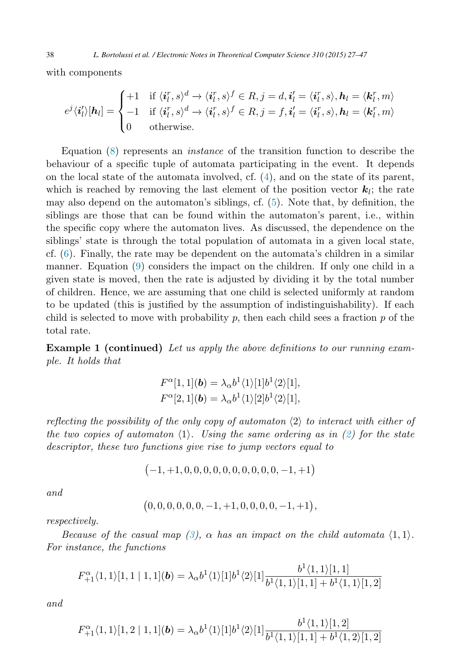with components

$$
e^{j}\langle \mathbf{i}'_{l}\rangle[\mathbf{h}_{l}]=\begin{cases}+1 & \text{if } \langle \mathbf{i}^{r}_{l},s\rangle^{d} \rightarrow \langle \mathbf{i}^{r}_{l},s\rangle^{f} \in R, j=d, \mathbf{i}'_{l}=\langle \mathbf{i}^{r}_{l},s\rangle, \mathbf{h}_{l}=\langle \mathbf{k}^{r}_{l},m\rangle\\-1 & \text{if } \langle \mathbf{i}^{r}_{l},s\rangle^{d} \rightarrow \langle \mathbf{i}^{r}_{l},s\rangle^{f} \in R, j=f, \mathbf{i}'_{l}=\langle \mathbf{i}^{r}_{l},s\rangle, \mathbf{h}_{l}=\langle \mathbf{k}^{r}_{l},m\rangle\\0 & \text{otherwise}.\end{cases}
$$

Equation [\(8\)](#page-10-0) represents an *instance* of the transition function to describe the behaviour of a specific tuple of automata participating in the event. It depends on the local state of the automata involved, cf. [\(4\)](#page-9-0), and on the state of its parent, which is reached by removing the last element of the position vector  $\mathbf{k}_l$ ; the rate may also depend on the automaton's siblings, cf. [\(5\)](#page-9-0). Note that, by definition, the siblings are those that can be found within the automaton's parent, i.e., within the specific copy where the automaton lives. As discussed, the dependence on the siblings' state is through the total population of automata in a given local state, cf. [\(6\)](#page-9-0). Finally, the rate may be dependent on the automata's children in a similar manner. Equation [\(9\)](#page-10-0) considers the impact on the children. If only one child in a given state is moved, then the rate is adjusted by dividing it by the total number of children. Hence, we are assuming that one child is selected uniformly at random to be updated (this is justified by the assumption of indistinguishability). If each child is selected to move with probability  $p$ , then each child sees a fraction  $p$  of the total rate.

**Example 1 (continued)** *Let us apply the above definitions to our running example. It holds that*

$$
F^{\alpha}[1,1](\boldsymbol{b}) = \lambda_{\alpha} b^{1} \langle 1 \rangle [1] b^{1} \langle 2 \rangle [1],
$$
  

$$
F^{\alpha}[2,1](\boldsymbol{b}) = \lambda_{\alpha} b^{1} \langle 1 \rangle [2] b^{1} \langle 2 \rangle [1],
$$

*reflecting the possibility of the only copy of automaton*  $\langle 2 \rangle$  to interact with either of *the two copies of automaton*  $\langle 1 \rangle$ . Using the same ordering as in  $\langle 2 \rangle$  for the state *descriptor, these two functions give rise to jump vectors equal to*

$$
\big(-1,+1,0,0,0,0,0,0,0,0,0,0,-1,+1\big)
$$

*and*

$$
\big(0,0,0,0,0,0,-1,+1,0,0,0,0,-1,+1\big),
$$

*respectively.*

*Because of the casual map [\(3\)](#page-8-0),*  $\alpha$  *has an impact on the child automata*  $\langle 1, 1 \rangle$ . *For instance, the functions*

$$
F_{+1}^{\alpha}(1,1)[1,1 | 1,1](\boldsymbol{b}) = \lambda_{\alpha}b^{1}(1)[1]b^{1}(2)[1]\frac{b^{1}(1,1)[1,1]}{b^{1}(1,1)[1,1] + b^{1}(1,1)[1,2]}
$$

*and*

$$
F_{+1}^{\alpha}(1,1)[1,2 | 1,1](\boldsymbol{b}) = \lambda_{\alpha}b^{1}(1)[1]b^{1}(2)[1]\frac{b^{1}(1,1)[1,2]}{b^{1}(1,1)[1,1]+b^{1}(1,2)[1,2]}
$$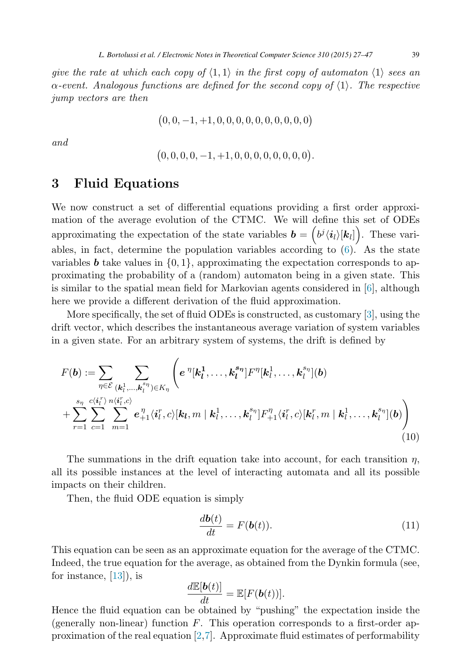<span id="page-12-0"></span>*give the rate at which each copy of*  $\langle 1, 1 \rangle$  *in the first copy of automaton*  $\langle 1 \rangle$  sees an  $\alpha$ -event. Analogous functions are defined for the second copy of  $\langle 1 \rangle$ . The respective *jump vectors are then*

$$
\big(0,0,-1,+1,0,0,0,0,0,0,0,0,0,0\big)
$$

*and*

$$
(0,0,0,0,-1,+1,0,0,0,0,0,0,0,0).
$$

### **3 Fluid Equations**

We now construct a set of differential equations providing a first order approximation of the average evolution of the CTMC. We will define this set of ODEs approximating the expectation of the state variables  $\mathbf{b} = (b^j \langle i_l \rangle [\mathbf{k}_l])$ . These variables, in fact, determine the population variables according to [\(6\)](#page-9-0). As the state variables **b** take values in  $\{0, 1\}$ , approximating the expectation corresponds to approximating the probability of a (random) automaton being in a given state. This is similar to the spatial mean field for Markovian agents considered in [\[6\]](#page-19-0), although here we provide a different derivation of the fluid approximation.

More specifically, the set of fluid ODEs is constructed, as customary [\[3\]](#page-19-0), using the drift vector, which describes the instantaneous average variation of system variables in a given state. For an arbitrary system of systems, the drift is defined by

$$
F(\boldsymbol{b}) := \sum_{\eta \in \mathcal{E}} \sum_{(\mathbf{k}_l^1, \dots, \mathbf{k}_l^{s\eta}) \in K_{\eta}} \left( e^{\eta} [\mathbf{k}_l^1, \dots, \mathbf{k}_l^{s\eta}] F^{\eta} [\mathbf{k}_l^1, \dots, \mathbf{k}_l^{s\eta}] (\boldsymbol{b}) + \sum_{r=1}^{s_{\eta}} \sum_{c=1}^{c \langle \mathbf{i}_l^r \rangle} \sum_{m=1}^{n \langle \mathbf{i}_l^r, c \rangle} e_{+1}^{\eta} \langle \mathbf{i}_l^r, c \rangle [\mathbf{k}_l, m \mid \mathbf{k}_l^1, \dots, \mathbf{k}_l^{s\eta}] F^{\eta}_{+1} \langle \mathbf{i}_l^r, c \rangle [\mathbf{k}_l^r, m \mid \mathbf{k}_l^1, \dots, \mathbf{k}_l^{s\eta}] (\boldsymbol{b}) \right)
$$
\n(10)

The summations in the drift equation take into account, for each transition  $\eta$ , all its possible instances at the level of interacting automata and all its possible impacts on their children.

Then, the fluid ODE equation is simply

$$
\frac{d\mathbf{b}(t)}{dt} = F(\mathbf{b}(t)).\tag{11}
$$

This equation can be seen as an approximate equation for the average of the CTMC. Indeed, the true equation for the average, as obtained from the Dynkin formula (see, for instance,  $[13]$ , is

$$
\frac{d\mathbb{E}[\boldsymbol{b}(t)]}{dt} = \mathbb{E}[F(\boldsymbol{b}(t))].
$$

Hence the fluid equation can be obtained by "pushing" the expectation inside the (generally non-linear) function  $F$ . This operation corresponds to a first-order approximation of the real equation [\[2,](#page-19-0)[7\]](#page-20-0). Approximate fluid estimates of performability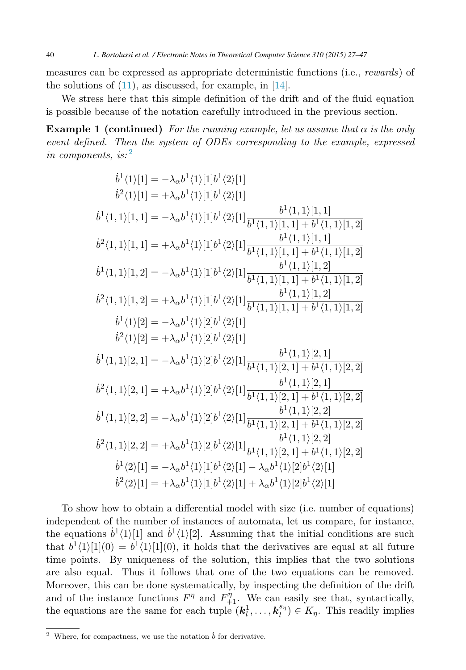measures can be expressed as appropriate deterministic functions (i.e., *rewards*) of the solutions of  $(11)$ , as discussed, for example, in  $[14]$ .

We stress here that this simple definition of the drift and of the fluid equation is possible because of the notation carefully introduced in the previous section.

**Example 1 (continued)** For the running example, let us assume that  $\alpha$  is the only *event defined. Then the system of ODEs corresponding to the example, expressed in components, is:* <sup>2</sup>

$$
\begin{aligned}\n\dot{b}^{1}\langle 1\rangle[1] &= -\lambda_{\alpha}b^{1}\langle 1\rangle[1]b^{1}\langle 2\rangle[1] \\
\dot{b}^{2}\langle 1\rangle[1] &= +\lambda_{\alpha}b^{1}\langle 1\rangle[1]b^{1}\langle 2\rangle[1] \\
\dot{b}^{1}\langle 1,1\rangle[1,1] &= -\lambda_{\alpha}b^{1}\langle 1\rangle[1]b^{1}\langle 2\rangle[1]\frac{b^{1}\langle 1,1\rangle[1,1]}{b^{1}\langle 1,1\rangle[1,1]+b^{1}\langle 1,1\rangle[1,2]} \\
\dot{b}^{2}\langle 1,1\rangle[1,1] &= +\lambda_{\alpha}b^{1}\langle 1\rangle[1]b^{1}\langle 2\rangle[1]\frac{b^{1}\langle 1,1\rangle[1,1]+b^{1}\langle 1,1\rangle[1,2]}{b^{1}\langle 1,1\rangle[1,2]} \\
\dot{b}^{1}\langle 1,1\rangle[1,2] &= -\lambda_{\alpha}b^{1}\langle 1\rangle[1]b^{1}\langle 2\rangle[1]\frac{b^{1}\langle 1,1\rangle[1,1]+b^{1}\langle 1,1\rangle[1,2]}{b^{1}\langle 1,1\rangle[1,2]} \\
\dot{b}^{2}\langle 1,1\rangle[1,2] &= +\lambda_{\alpha}b^{1}\langle 1\rangle[1]b^{1}\langle 2\rangle[1]\frac{b^{1}\langle 1,1\rangle[1,1]+b^{1}\langle 1,1\rangle[1,2]}{b^{1}\langle 1,1\rangle[1,2]} \\
\dot{b}^{2}\langle 1,1\rangle[2] &= +\lambda_{\alpha}b^{1}\langle 1\rangle[2]b^{1}\langle 2\rangle[1] \\
\dot{b}^{2}\langle 1\rangle[2] &= -\lambda_{\alpha}b^{1}\langle 1\rangle[2]b^{1}\langle 2\rangle[1] \\
\dot{b}^{2}\langle 1\rangle[2] &= +\lambda_{\alpha}b^{1}\langle 1\rangle[2]b^{1}\langle 2\rangle[1] \\
\dot{b}^{1}\langle 1,1\rangle[2,1] &= -\lambda_{\alpha}b^{1}\langle 1\rangle[2]b^{1}\langle 2\rangle[1]\frac{b^{1}\langle 1
$$

To show how to obtain a differential model with size (i.e. number of equations) independent of the number of instances of automata, let us compare, for instance, the equations  $\dot{b}^1\langle 1\rangle[1]$  and  $\dot{b}^1\langle 1\rangle[2]$ . Assuming that the initial conditions are such that  $b^1(1)[1](0) = b^1(1)[1](0)$ , it holds that the derivatives are equal at all future time points. By uniqueness of the solution, this implies that the two solutions are also equal. Thus it follows that one of the two equations can be removed. Moreover, this can be done systematically, by inspecting the definition of the drift and of the instance functions  $F^{\eta}$  and  $F^{\eta}_{+1}$ . We can easily see that, syntactically, the equations are the same for each tuple  $(k_l^1, \ldots, k_l^{s_l}) \in K_{\eta}$ . This readily implies

<sup>&</sup>lt;sup>2</sup> Where, for compactness, we use the notation  $\dot{b}$  for derivative.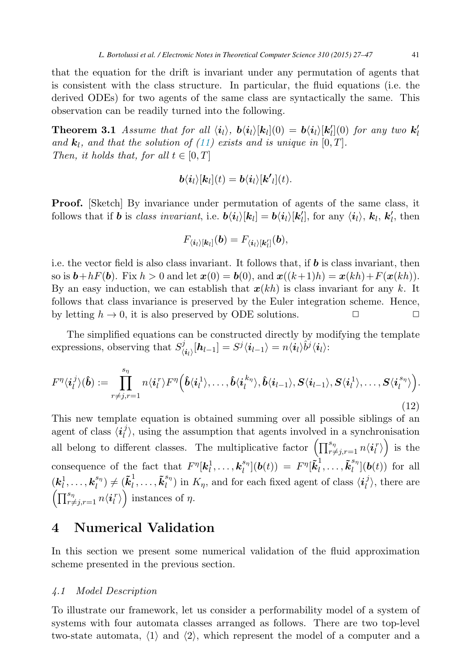<span id="page-14-0"></span>that the equation for the drift is invariant under any permutation of agents that is consistent with the class structure. In particular, the fluid equations (i.e. the derived ODEs) for two agents of the same class are syntactically the same. This observation can be readily turned into the following.

**Theorem 3.1** *Assume that for all*  $\langle i_l \rangle$ ,  $\mathbf{b} \langle i_l \rangle [\mathbf{k}_l](0) = \mathbf{b} \langle i_l \rangle [\mathbf{k}'_l](0)$  *for any two*  $\mathbf{k}'_l$ and  $\mathbf{k}_l$ , and that the solution of [\(11\)](#page-12-0) exists and is unique in [0, T]. *Then, it holds that, for all*  $t \in [0, T]$ 

$$
\mathbf{b}\langle\mathbf{i}_l\rangle[\mathbf{k}_l](t)=\mathbf{b}\langle\mathbf{i}_l\rangle[\mathbf{k'}_l](t).
$$

**Proof.** Sketch By invariance under permutation of agents of the same class, it follows that if *b* is *class invariant*, i.e.  $\boldsymbol{b}\langle\boldsymbol{i}_l\rangle[\boldsymbol{k}_l] = \boldsymbol{b}\langle\boldsymbol{i}_l\rangle[\boldsymbol{k}'_l]$ , for any  $\langle\boldsymbol{i}_l\rangle$ ,  $\boldsymbol{k}_l$ ,  $\boldsymbol{k}'_l$ , then

$$
F_{\langle i_l \rangle [\boldsymbol{k}_l]}(\boldsymbol{b}) = F_{\langle i_l \rangle [\boldsymbol{k}'_l]}(\boldsymbol{b}),
$$

i.e. the vector field is also class invariant. It follows that, if *b* is class invariant, then so is  $\mathbf{b} + hF(\mathbf{b})$ . Fix  $h > 0$  and let  $\mathbf{x}(0) = \mathbf{b}(0)$ , and  $\mathbf{x}((k+1)h) = \mathbf{x}(kh) + F(\mathbf{x}(kh))$ . By an easy induction, we can establish that  $x(kh)$  is class invariant for any k. It follows that class invariance is preserved by the Euler integration scheme. Hence, by letting  $h \to 0$ , it is also preserved by ODE solutions.  $\Box$ 

The simplified equations can be constructed directly by modifying the template  $\sum_{i=1}^{n} \sum_{i=1}^{n} \sum_{j=1}^{n} \sum_{i=1}^{n} \sum_{j=1}^{n} \sum_{i=1}^{n} \sum_{j=1}^{n} \sum_{j=1}^{n} \sum_{j=1}^{n} \sum_{j=1}^{n} \sum_{j=1}^{n} \sum_{j=1}^{n} \sum_{j=1}^{n} \sum_{j=1}^{n} \sum_{j=1}^{n} \sum_{j=1}^{n} \sum_{j=1}^{n} \sum_{j=1}^{n} \sum_{j=1}^{n} \sum_{j=1}^{n} \sum_{j=1}^{n} \sum_{j=1}^{n}$ 

$$
F^{\eta}\langle \boldsymbol{i}_{l}^{j}\rangle(\hat{\boldsymbol{b}}) := \prod_{r \neq j, r=1}^{s_{\eta}} n \langle \boldsymbol{i}_{l}^{r}\rangle F^{\eta}\Big(\hat{\boldsymbol{b}}\langle \boldsymbol{i}_{l}^{1}\rangle, \ldots, \hat{\boldsymbol{b}}\langle \boldsymbol{i}_{l}^{k_{\eta}}\rangle, \hat{\boldsymbol{b}}\langle \boldsymbol{i}_{l-1}\rangle, \boldsymbol{S}\langle \boldsymbol{i}_{l-1}\rangle, \boldsymbol{S}\langle \boldsymbol{i}_{l}^{1}\rangle, \ldots, \boldsymbol{S}\langle \boldsymbol{i}_{l}^{s_{\eta}}\rangle\Big).
$$
\n(12)

This new template equation is obtained summing over all possible siblings of an agent of class  $\langle i_l^j \rangle$ , using the assumption that agents involved in a synchronisation all belong to different classes. The multiplicative factor  $\left(\prod_{r\neq j,r=1}^{s_{\eta}} n\langle i_l^r\rangle\right)$  is the consequence of the fact that  $F^{\eta}[\mathbf{k}_l^1,\ldots,\mathbf{k}_l^{s_{\eta}}](\mathbf{b}(t)) = F^{\eta}[\tilde{\mathbf{k}}_l^1,\ldots,\tilde{\mathbf{k}}_l^{s_{\eta}}](\mathbf{b}(t))$  for all  $(k_l^1, \ldots, k_l^{s_{\eta}}) \neq (\tilde{k}_l^1, \ldots, \tilde{k}_l^{s_{\eta}})$  in  $K_{\eta}$ , and for each fixed agent of class  $\langle i_l^j \rangle$ , there are  $\left(\prod_{r \neq j, r=1}^{s_{\eta}} n \langle \boldsymbol{i}_{l}^{r} \rangle \right)$  instances of  $\eta$ .

### **4 Numerical Validation**

In this section we present some numerical validation of the fluid approximation scheme presented in the previous section.

#### *4.1 Model Description*

To illustrate our framework, let us consider a performability model of a system of systems with four automata classes arranged as follows. There are two top-level two-state automata,  $\langle 1 \rangle$  and  $\langle 2 \rangle$ , which represent the model of a computer and a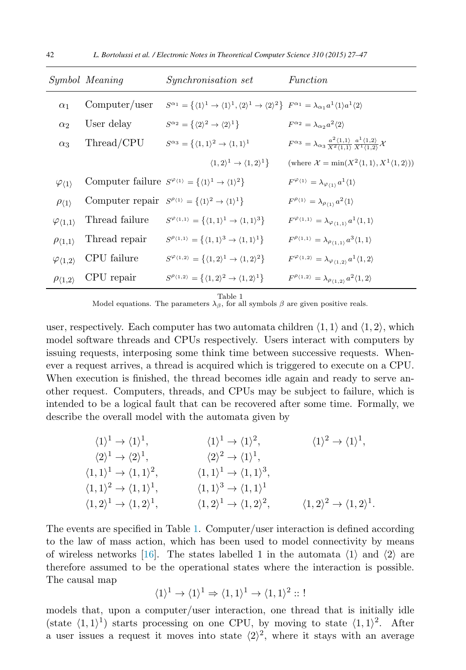|                                | Symbol Meaning | <i>Synchronisation set</i>                                                                                                                                                                      | Function                                                                                                                                                 |
|--------------------------------|----------------|-------------------------------------------------------------------------------------------------------------------------------------------------------------------------------------------------|----------------------------------------------------------------------------------------------------------------------------------------------------------|
| $\alpha_1$                     | Computer/user  | $S^{\alpha_1} = \{ \langle 1 \rangle^1 \to \langle 1 \rangle^1, \langle 2 \rangle^1 \to \langle 2 \rangle^2 \}$ $F^{\alpha_1} = \lambda_{\alpha_1} a^1 \langle 1 \rangle a^1 \langle 2 \rangle$ |                                                                                                                                                          |
| $\alpha$ <sub>2</sub>          | User delay     | $S^{\alpha_2} = \{ \langle 2 \rangle^2 \rightarrow \langle 2 \rangle^1 \}$                                                                                                                      | $F^{\alpha_2} = \lambda_{\alpha_2} a^2 \langle 2 \rangle$                                                                                                |
| $\alpha_3$                     | Thread/CPU     | $S^{\alpha_3} = \{ \langle 1, 1 \rangle^2 \rightarrow \langle 1, 1 \rangle^1$                                                                                                                   | $F^{\alpha_3} = \lambda_{\alpha_3} \frac{a^2 \langle 1,1 \rangle}{X^2 \langle 1,1 \rangle} \frac{a^1 \langle 1,2 \rangle}{X^1 \langle 1,2 \rangle} \chi$ |
|                                |                | $\langle 1,2\rangle^1 \rightarrow \langle 1,2\rangle^1$                                                                                                                                         | (where $\mathcal{X} = \min(X^2\langle 1, 1 \rangle, X^1\langle 1, 2 \rangle)$ )                                                                          |
| $\varphi_{\langle 1\rangle}$   |                | Computer failure $S^{\varphi_{\langle 1 \rangle}} = \{ \langle 1 \rangle^1 \rightarrow \langle 1 \rangle^2 \}$                                                                                  | $F^{\varphi_{\langle 1 \rangle}} = \lambda_{\varphi_{\langle 1 \rangle}} a^1 \langle 1 \rangle$                                                          |
| $\rho_{\langle 1 \rangle}$     |                | Computer repair $S^{\rho_{\langle 1 \rangle}} = {\langle \langle 1 \rangle^2 \rightarrow \langle 1 \rangle^1}$                                                                                  | $F^{\rho_{\langle 1 \rangle}} = \lambda_{\rho_{\langle 1 \rangle}} a^2 \langle 1 \rangle$                                                                |
| $\varphi_{\langle 1,1\rangle}$ | Thread failure | $S^{\varphi_{\langle 1,1\rangle}}=\{\langle 1,1\rangle^1\to\langle 1,1\rangle^3\}$                                                                                                              | $F^{\varphi_{\langle 1,1\rangle}} = \lambda_{\varphi_{\langle 1,1\rangle}} a^1 \langle 1,1\rangle$                                                       |
| $\rho_{\langle 1,1\rangle}$    | Thread repair  | $S^{\rho_{\langle 1,1\rangle}} = \{\langle 1,1\rangle^3 \rightarrow \langle 1,1\rangle^1\}$                                                                                                     | $F^{\rho_{\langle 1,1\rangle}} = \lambda_{\rho_{\langle 1,1\rangle}} a^3 \langle 1,1\rangle$                                                             |
| $\varphi_{\langle 1,2\rangle}$ | CPU failure    | $S^{\varphi_{\langle 1,2\rangle}} = \{\langle 1,2\rangle^1 \rightarrow \langle 1,2\rangle^2\}$                                                                                                  | $F^{\varphi_{\langle 1,2\rangle}} = \lambda_{\varphi_{\langle 1,2\rangle}} a^1 \langle 1,2\rangle$                                                       |
| $\rho_{\langle 1,2\rangle}$    | CPU repair     | $S^{\rho_{\langle 1,2\rangle}} = \{\langle 1,2\rangle^2 \rightarrow \langle 1,2\rangle^1\}$                                                                                                     | $F^{\rho_{\langle 1,2\rangle}} = \lambda_{\rho_{\langle 1,2\rangle}} a^2 \langle 1,2\rangle$                                                             |

Table 1

Model equations. The parameters  $\lambda_{\beta}$ , for all symbols  $\beta$  are given positive reals.

user, respectively. Each computer has two automata children  $\langle 1, 1 \rangle$  and  $\langle 1, 2 \rangle$ , which model software threads and CPUs respectively. Users interact with computers by issuing requests, interposing some think time between successive requests. Whenever a request arrives, a thread is acquired which is triggered to execute on a CPU. When execution is finished, the thread becomes idle again and ready to serve another request. Computers, threads, and CPUs may be subject to failure, which is intended to be a logical fault that can be recovered after some time. Formally, we describe the overall model with the automata given by

$$
\langle 1 \rangle^1 \rightarrow \langle 1 \rangle^1, \qquad \langle 1 \rangle^1 \rightarrow \langle 1 \rangle^2, \qquad \langle 1 \rangle^2 \rightarrow \langle 1 \rangle^1, \n\langle 2 \rangle^1 \rightarrow \langle 2 \rangle^1, \qquad \langle 2 \rangle^2 \rightarrow \langle 1 \rangle^1, \n\langle 1, 1 \rangle^1 \rightarrow \langle 1, 1 \rangle^2, \qquad \langle 1, 1 \rangle^1 \rightarrow \langle 1, 1 \rangle^3, \n\langle 1, 1 \rangle^2 \rightarrow \langle 1, 1 \rangle^1, \qquad \langle 1, 1 \rangle^3 \rightarrow \langle 1, 1 \rangle^1 \n\langle 1, 2 \rangle^1 \rightarrow \langle 1, 2 \rangle^1, \qquad \langle 1, 2 \rangle^1 \rightarrow \langle 1, 2 \rangle^2, \qquad \langle 1, 2 \rangle^2 \rightarrow \langle 1, 2 \rangle^1.
$$

The events are specified in Table 1. Computer/user interaction is defined according to the law of mass action, which has been used to model connectivity by means of wireless networks [\[16\]](#page-20-0). The states labelled 1 in the automata  $\langle 1 \rangle$  and  $\langle 2 \rangle$  are therefore assumed to be the operational states where the interaction is possible. The causal map

$$
\langle 1 \rangle^1 \to \langle 1 \rangle^1 \Rightarrow \langle 1, 1 \rangle^1 \to \langle 1, 1 \rangle^2 :: !
$$

models that, upon a computer/user interaction, one thread that is initially idle (state  $\langle 1, 1 \rangle^1$ ) starts processing on one CPU, by moving to state  $\langle 1, 1 \rangle^2$ . After a user issues a request it moves into state  $\langle 2 \rangle^2$ , where it stays with an average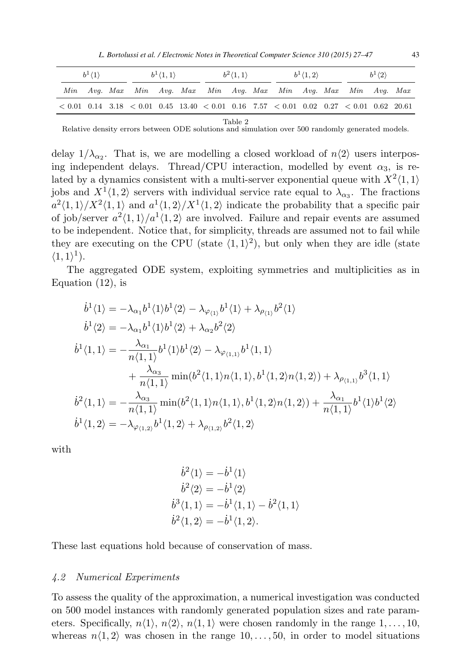*L. Bortolussi et al. / Electronic Notes in Theoretical Computer Science 310 (2015) 27–47* 43

<span id="page-16-0"></span>

| $b^1\langle 1\rangle$ |  |  | $b^1\langle 1,1\rangle$                                                                                                                                                                                                                                                                  |  | $b^2\langle 1,1\rangle$ |  | $b^1\langle 1,2\rangle$ |  | $b^1\langle 2\rangle$ |  |  |  |  |  |
|-----------------------|--|--|------------------------------------------------------------------------------------------------------------------------------------------------------------------------------------------------------------------------------------------------------------------------------------------|--|-------------------------|--|-------------------------|--|-----------------------|--|--|--|--|--|
|                       |  |  | Min Avg. Max Min Avg. Max Min Avg. Max Min Avg. Max Min Avg. Max                                                                                                                                                                                                                         |  |                         |  |                         |  |                       |  |  |  |  |  |
|                       |  |  | $\langle 0.01 \; 0.14 \; 3.18 \; \langle 0.01 \; 0.45 \; 13.40 \; \langle 0.01 \; 0.16 \; 7.57 \; \langle 0.01 \; 0.02 \; 0.27 \; \langle 0.01 \; 0.62 \; 20.61 \; 0.01 \; 0.02 \; 0.01 \; 0.02 \; 0.01 \; 0.02 \; 0.01 \; 0.02 \; 0.01 \; 0.02 \; 0.01 \; 0.02 \; 0.01 \; 0.02 \; 0.03$ |  |                         |  |                         |  |                       |  |  |  |  |  |

Table 2

Relative density errors between ODE solutions and simulation over 500 randomly generated models.

delay  $1/\lambda_{\alpha_2}$ . That is, we are modelling a closed workload of  $n\langle 2 \rangle$  users interposing independent delays. Thread/CPU interaction, modelled by event  $\alpha_3$ , is related by a dynamics consistent with a multi-server exponential queue with  $X^2\langle 1, 1 \rangle$ jobs and  $X^1(1,2)$  servers with individual service rate equal to  $\lambda_{\alpha3}$ . The fractions  $a^2\langle 1, 1\rangle / X^2\langle 1, 1\rangle$  and  $a^1\langle 1, 2\rangle / X^1\langle 1, 2\rangle$  indicate the probability that a specific pair of job/server  $a^2\langle 1, 1\rangle/a^1\langle 1, 2\rangle$  are involved. Failure and repair events are assumed to be independent. Notice that, for simplicity, threads are assumed not to fail while they are executing on the CPU (state  $\langle 1, 1 \rangle^2$ ), but only when they are idle (state  $\langle 1, 1 \rangle^1$ .

The aggregated ODE system, exploiting symmetries and multiplicities as in Equation  $(12)$ , is

$$
\dot{b}^{1}\langle 1 \rangle = -\lambda_{\alpha_{1}}b^{1}\langle 1 \rangle b^{1}\langle 2 \rangle - \lambda_{\varphi_{\langle 1 \rangle}}b^{1}\langle 1 \rangle + \lambda_{\rho_{\langle 1 \rangle}}b^{2}\langle 1 \rangle
$$
\n
$$
\dot{b}^{1}\langle 2 \rangle = -\lambda_{\alpha_{1}}b^{1}\langle 1 \rangle b^{1}\langle 2 \rangle + \lambda_{\alpha_{2}}b^{2}\langle 2 \rangle
$$
\n
$$
\dot{b}^{1}\langle 1, 1 \rangle = -\frac{\lambda_{\alpha_{1}}}{n\langle 1, 1 \rangle}b^{1}\langle 1 \rangle b^{1}\langle 2 \rangle - \lambda_{\varphi_{\langle 1, 1 \rangle}}b^{1}\langle 1, 1 \rangle
$$
\n
$$
+ \frac{\lambda_{\alpha_{3}}}{n\langle 1, 1 \rangle} \min(b^{2}\langle 1, 1 \rangle n\langle 1, 1 \rangle, b^{1}\langle 1, 2 \rangle n\langle 1, 2 \rangle) + \lambda_{\rho_{\langle 1, 1 \rangle}}b^{3}\langle 1, 1 \rangle
$$
\n
$$
\dot{b}^{2}\langle 1, 1 \rangle = -\frac{\lambda_{\alpha_{3}}}{n\langle 1, 1 \rangle} \min(b^{2}\langle 1, 1 \rangle n\langle 1, 1 \rangle, b^{1}\langle 1, 2 \rangle n\langle 1, 2 \rangle) + \frac{\lambda_{\alpha_{1}}}{n\langle 1, 1 \rangle}b^{1}\langle 1 \rangle b^{1}\langle 2 \rangle
$$
\n
$$
\dot{b}^{1}\langle 1, 2 \rangle = -\lambda_{\varphi_{\langle 1, 2 \rangle}}b^{1}\langle 1, 2 \rangle + \lambda_{\rho_{\langle 1, 2 \rangle}}b^{2}\langle 1, 2 \rangle
$$

with

$$
\dot{b}^2 \langle 1 \rangle = -\dot{b}^1 \langle 1 \rangle \n\dot{b}^2 \langle 2 \rangle = -\dot{b}^1 \langle 2 \rangle \n\dot{b}^3 \langle 1, 1 \rangle = -\dot{b}^1 \langle 1, 1 \rangle - \dot{b}^2 \langle 1, 1 \rangle \n\dot{b}^2 \langle 1, 2 \rangle = -\dot{b}^1 \langle 1, 2 \rangle.
$$

These last equations hold because of conservation of mass.

#### *4.2 Numerical Experiments*

To assess the quality of the approximation, a numerical investigation was conducted on 500 model instances with randomly generated population sizes and rate parameters. Specifically,  $n\langle 1 \rangle$ ,  $n\langle 2 \rangle$ ,  $n\langle 1, 1 \rangle$  were chosen randomly in the range  $1, \ldots, 10$ , whereas  $n(1, 2)$  was chosen in the range  $10, \ldots, 50$ , in order to model situations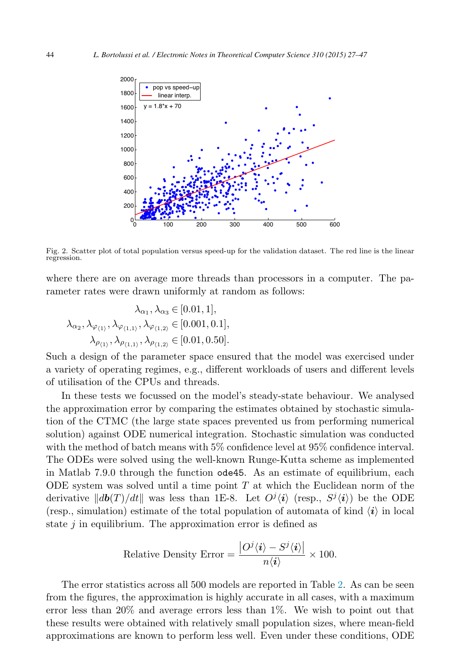<span id="page-17-0"></span>

Fig. 2. Scatter plot of total population versus speed-up for the validation dataset. The red line is the linear regression.

where there are on average more threads than processors in a computer. The parameter rates were drawn uniformly at random as follows:

$$
\begin{aligned} \lambda_{\alpha_1}, \lambda_{\alpha_3} &\in [0.01, 1], \\ \lambda_{\alpha_2}, \lambda_{\varphi_{\langle 1 \rangle}}, \lambda_{\varphi_{\langle 1, 1 \rangle}}, \lambda_{\varphi_{\langle 1, 2 \rangle}} &\in [0.001, 0.1], \\ \lambda_{\rho_{\langle 1 \rangle}}, \lambda_{\rho_{\langle 1, 1 \rangle}}, \lambda_{\rho_{\langle 1, 2 \rangle}} &\in [0.01, 0.50]. \end{aligned}
$$

Such a design of the parameter space ensured that the model was exercised under a variety of operating regimes, e.g., different workloads of users and different levels of utilisation of the CPUs and threads.

In these tests we focussed on the model's steady-state behaviour. We analysed the approximation error by comparing the estimates obtained by stochastic simulation of the CTMC (the large state spaces prevented us from performing numerical solution) against ODE numerical integration. Stochastic simulation was conducted with the method of batch means with 5% confidence level at 95% confidence interval. The ODEs were solved using the well-known Runge-Kutta scheme as implemented in Matlab 7.9.0 through the function ode45. As an estimate of equilibrium, each ODE system was solved until a time point T at which the Euclidean norm of the derivative  $||db(T)/dt||$  was less than 1E-8. Let  $O^j\langle i\rangle$  (resp.,  $S^j\langle i\rangle$ ) be the ODE (resp., simulation) estimate of the total population of automata of kind  $\langle i \rangle$  in local state  $j$  in equilibrium. The approximation error is defined as

Relative Density Error = 
$$
\frac{|O^j \langle \mathbf{i} \rangle - S^j \langle \mathbf{i} \rangle|}{n \langle \mathbf{i} \rangle} \times 100.
$$

The error statistics across all 500 models are reported in Table [2.](#page-16-0) As can be seen from the figures, the approximation is highly accurate in all cases, with a maximum error less than 20% and average errors less than 1%. We wish to point out that these results were obtained with relatively small population sizes, where mean-field approximations are known to perform less well. Even under these conditions, ODE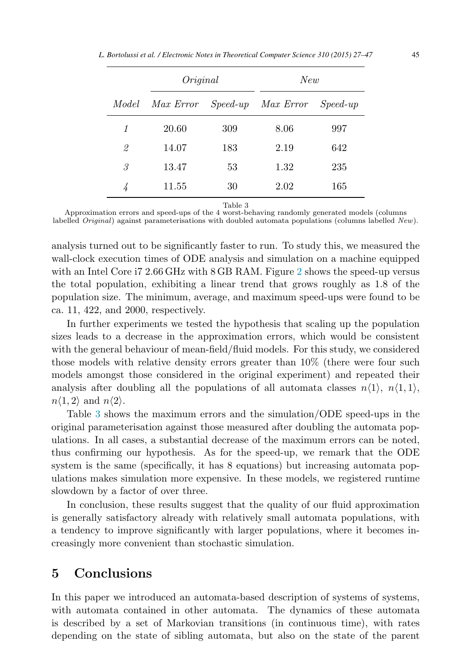<span id="page-18-0"></span>

|  |  | L. Bortolussi et al. / Electronic Notes in Theoretical Computer Science 310 (2015) 27–47 |  |  |  |  |  |
|--|--|------------------------------------------------------------------------------------------|--|--|--|--|--|
|--|--|------------------------------------------------------------------------------------------|--|--|--|--|--|

|       | Original  |     | New                |            |  |  |
|-------|-----------|-----|--------------------|------------|--|--|
| Model | Max Error |     | Speed-up Max Error | $Speed-up$ |  |  |
| 1     | 20.60     | 309 | 8.06               | 997        |  |  |
| 2     | 14.07     | 183 | 2.19               | 642        |  |  |
| 3     | 13.47     | 53  | 1.32               | 235        |  |  |
| 4     | 11.55     | 30  | 2.02               | 165        |  |  |

Table 3

Approximation errors and speed-ups of the 4 worst-behaving randomly generated models (columns labelled Original) against parameterisations with doubled automata populations (columns labelled New).

analysis turned out to be significantly faster to run. To study this, we measured the wall-clock execution times of ODE analysis and simulation on a machine equipped with an Intel Core i7 2.66 GHz with 8 GB RAM. Figure [2](#page-17-0) shows the speed-up versus the total population, exhibiting a linear trend that grows roughly as 1.8 of the population size. The minimum, average, and maximum speed-ups were found to be ca. 11, 422, and 2000, respectively.

In further experiments we tested the hypothesis that scaling up the population sizes leads to a decrease in the approximation errors, which would be consistent with the general behaviour of mean-field/fluid models. For this study, we considered those models with relative density errors greater than 10% (there were four such models amongst those considered in the original experiment) and repeated their analysis after doubling all the populations of all automata classes  $n\langle 1 \rangle$ ,  $n\langle 1, 1 \rangle$ ,  $n\langle 1, 2 \rangle$  and  $n\langle 2 \rangle$ .

Table 3 shows the maximum errors and the simulation/ODE speed-ups in the original parameterisation against those measured after doubling the automata populations. In all cases, a substantial decrease of the maximum errors can be noted, thus confirming our hypothesis. As for the speed-up, we remark that the ODE system is the same (specifically, it has 8 equations) but increasing automata populations makes simulation more expensive. In these models, we registered runtime slowdown by a factor of over three.

In conclusion, these results suggest that the quality of our fluid approximation is generally satisfactory already with relatively small automata populations, with a tendency to improve significantly with larger populations, where it becomes increasingly more convenient than stochastic simulation.

### **5 Conclusions**

In this paper we introduced an automata-based description of systems of systems, with automata contained in other automata. The dynamics of these automata is described by a set of Markovian transitions (in continuous time), with rates depending on the state of sibling automata, but also on the state of the parent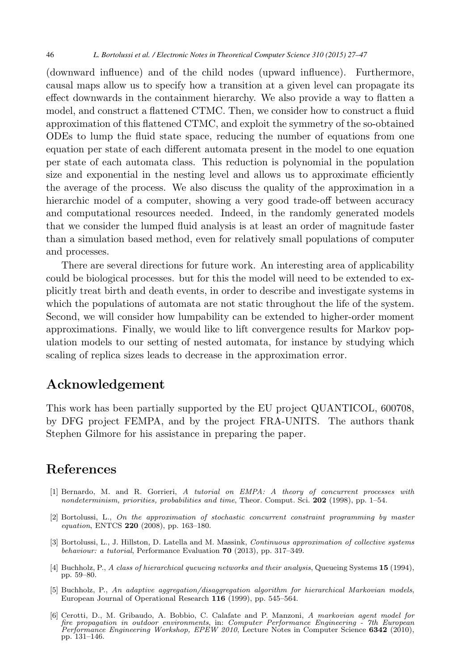<span id="page-19-0"></span>(downward influence) and of the child nodes (upward influence). Furthermore, causal maps allow us to specify how a transition at a given level can propagate its effect downwards in the containment hierarchy. We also provide a way to flatten a model, and construct a flattened CTMC. Then, we consider how to construct a fluid approximation of this flattened CTMC, and exploit the symmetry of the so-obtained ODEs to lump the fluid state space, reducing the number of equations from one equation per state of each different automata present in the model to one equation per state of each automata class. This reduction is polynomial in the population size and exponential in the nesting level and allows us to approximate efficiently the average of the process. We also discuss the quality of the approximation in a hierarchic model of a computer, showing a very good trade-off between accuracy and computational resources needed. Indeed, in the randomly generated models that we consider the lumped fluid analysis is at least an order of magnitude faster than a simulation based method, even for relatively small populations of computer and processes.

There are several directions for future work. An interesting area of applicability could be biological processes. but for this the model will need to be extended to explicitly treat birth and death events, in order to describe and investigate systems in which the populations of automata are not static throughout the life of the system. Second, we will consider how lumpability can be extended to higher-order moment approximations. Finally, we would like to lift convergence results for Markov population models to our setting of nested automata, for instance by studying which scaling of replica sizes leads to decrease in the approximation error.

### **Acknowledgement**

This work has been partially supported by the EU project QUANTICOL, 600708, by DFG project FEMPA, and by the project FRA-UNITS. The authors thank Stephen Gilmore for his assistance in preparing the paper.

### **References**

- [1] Bernardo, M. and R. Gorrieri, A tutorial on EMPA: A theory of concurrent processes with nondeterminism, priorities, probabilities and time, Theor. Comput. Sci. **202** (1998), pp. 1–54.
- [2] Bortolussi, L., On the approximation of stochastic concurrent constraint programming by master equation, ENTCS **220** (2008), pp. 163–180.
- [3] Bortolussi, L., J. Hillston, D. Latella and M. Massink, Continuous approximation of collective systems behaviour: a tutorial, Performance Evaluation **70** (2013), pp. 317–349.
- [4] Buchholz, P., A class of hierarchical queueing networks and their analysis, Queueing Systems **15** (1994), pp. 59–80.
- [5] Buchholz, P., An adaptive aggregation/disaggregation algorithm for hierarchical Markovian models, European Journal of Operational Research **116** (1999), pp. 545–564.
- [6] Cerotti, D., M. Gribaudo, A. Bobbio, C. Calafate and P. Manzoni, A markovian agent model for fire propagation in outdoor environments, in: Computer Performance Engineering - 7th European<br>Performance Engineering Workshop, EPEW 2010, Lecture Notes in Computer Science **6342** (2010), pp. 131–146.